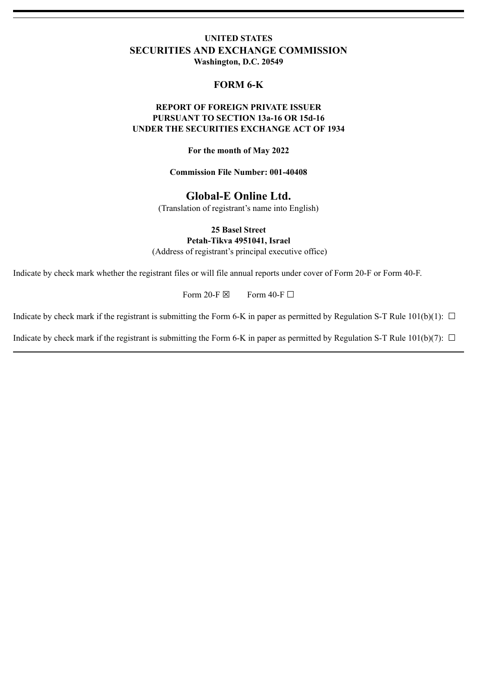# **UNITED STATES SECURITIES AND EXCHANGE COMMISSION Washington, D.C. 20549**

# **FORM 6-K**

# **REPORT OF FOREIGN PRIVATE ISSUER PURSUANT TO SECTION 13a-16 OR 15d-16 UNDER THE SECURITIES EXCHANGE ACT OF 1934**

**For the month of May 2022**

**Commission File Number: 001-40408**

# **Global-E Online Ltd.**

(Translation of registrant's name into English)

**25 Basel Street**

**Petah-Tikva 4951041, Israel** (Address of registrant's principal executive office)

Indicate by check mark whether the registrant files or will file annual reports under cover of Form 20-F or Form 40-F.

Form 20-F  $\boxtimes$  Form 40-F  $\Box$ 

Indicate by check mark if the registrant is submitting the Form 6-K in paper as permitted by Regulation S-T Rule  $101(b)(1)$ :  $\Box$ 

Indicate by check mark if the registrant is submitting the Form 6-K in paper as permitted by Regulation S-T Rule 101(b)(7):  $\Box$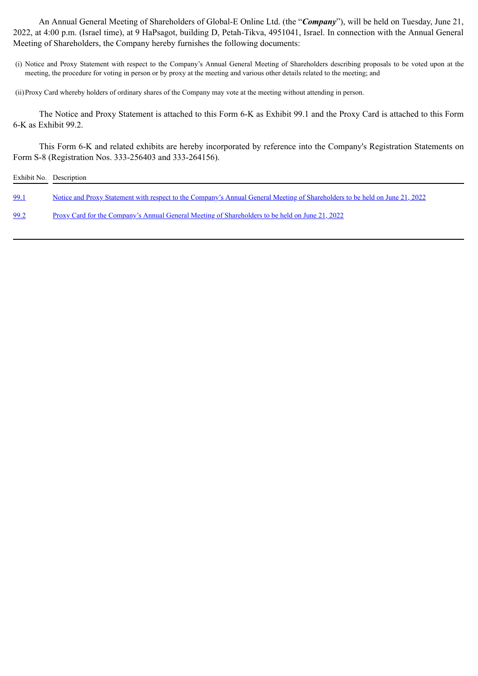An Annual General Meeting of Shareholders of Global-E Online Ltd. (the "*Company*"), will be held on Tuesday, June 21, 2022, at 4:00 p.m. (Israel time), at 9 HaPsagot, building D, Petah-Tikva, 4951041, Israel. In connection with the Annual General Meeting of Shareholders, the Company hereby furnishes the following documents:

(i) Notice and Proxy Statement with respect to the Company's Annual General Meeting of Shareholders describing proposals to be voted upon at the meeting, the procedure for voting in person or by proxy at the meeting and various other details related to the meeting; and

(ii)Proxy Card whereby holders of ordinary shares of the Company may vote at the meeting without attending in person.

The Notice and Proxy Statement is attached to this Form 6-K as Exhibit 99.1 and the Proxy Card is attached to this Form 6-K as Exhibit 99.2.

This Form 6-K and related exhibits are hereby incorporated by reference into the Company's Registration Statements on Form S-8 (Registration Nos. 333-256403 and 333-264156).

| Exhibit No. Description |                                                                                                                             |
|-------------------------|-----------------------------------------------------------------------------------------------------------------------------|
| 99.1                    | Notice and Proxy Statement with respect to the Company's Annual General Meeting of Shareholders to be held on June 21, 2022 |
| 99.2                    | Proxy Card for the Company's Annual General Meeting of Shareholders to be held on June 21, 2022                             |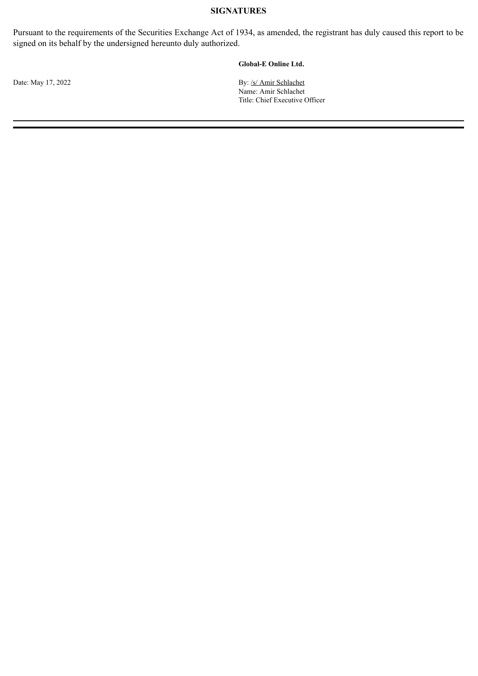### **SIGNATURES**

Pursuant to the requirements of the Securities Exchange Act of 1934, as amended, the registrant has duly caused this report to be signed on its behalf by the undersigned hereunto duly authorized.

#### **Global-E Online Ltd.**

Date: May 17, 2022 By: /s/ Amir Schlachet Name: Amir Schlachet Title: Chief Executive Officer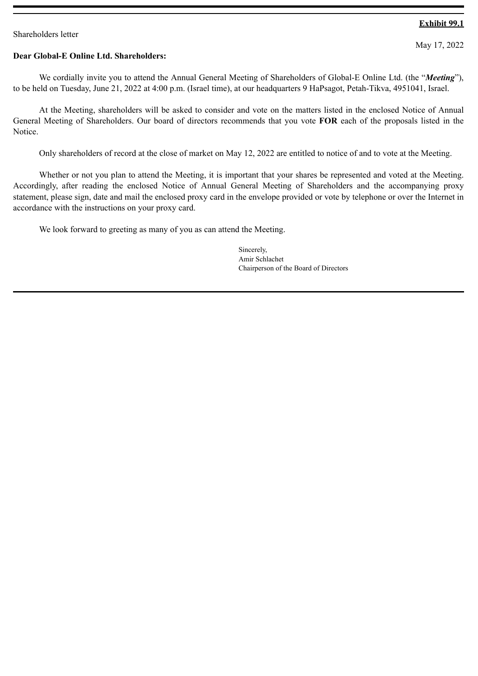### <span id="page-3-0"></span>Shareholders letter

# **Exhibit 99.1**

May 17, 2022

# **Dear Global-E Online Ltd. Shareholders:**

We cordially invite you to attend the Annual General Meeting of Shareholders of Global-E Online Ltd. (the "*Meeting*"), to be held on Tuesday, June 21, 2022 at 4:00 p.m. (Israel time), at our headquarters 9 HaPsagot, Petah-Tikva, 4951041, Israel.

At the Meeting, shareholders will be asked to consider and vote on the matters listed in the enclosed Notice of Annual General Meeting of Shareholders. Our board of directors recommends that you vote **FOR** each of the proposals listed in the Notice.

Only shareholders of record at the close of market on May 12, 2022 are entitled to notice of and to vote at the Meeting.

Whether or not you plan to attend the Meeting, it is important that your shares be represented and voted at the Meeting. Accordingly, after reading the enclosed Notice of Annual General Meeting of Shareholders and the accompanying proxy statement, please sign, date and mail the enclosed proxy card in the envelope provided or vote by telephone or over the Internet in accordance with the instructions on your proxy card.

We look forward to greeting as many of you as can attend the Meeting.

Sincerely, Amir Schlachet Chairperson of the Board of Directors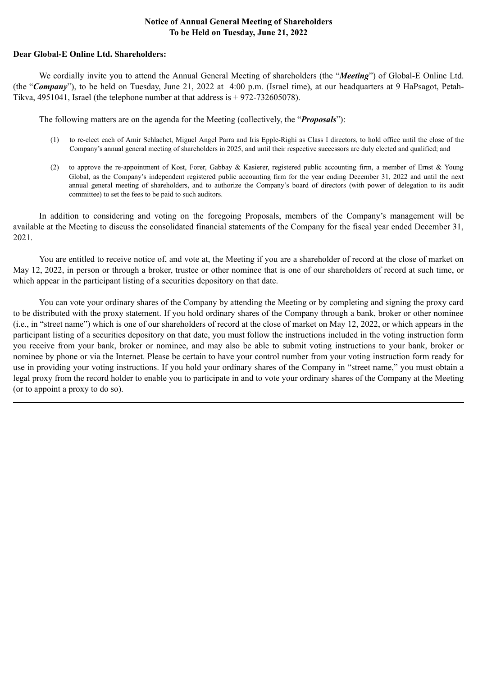# **Notice of Annual General Meeting of Shareholders To be Held on Tuesday, June 21, 2022**

### **Dear Global-E Online Ltd. Shareholders:**

We cordially invite you to attend the Annual General Meeting of shareholders (the "*Meeting*") of Global-E Online Ltd. (the "*Company*"), to be held on Tuesday, June 21, 2022 at 4:00 p.m. (Israel time), at our headquarters at 9 HaPsagot, Petah-Tikva, 4951041, Israel (the telephone number at that address is + 972-732605078).

The following matters are on the agenda for the Meeting (collectively, the "*Proposals*"):

- (1) to re-elect each of Amir Schlachet, Miguel Angel Parra and Iris Epple-Righi as Class I directors, to hold office until the close of the Company's annual general meeting of shareholders in 2025, and until their respective successors are duly elected and qualified; and
- (2) to approve the re-appointment of Kost, Forer, Gabbay & Kasierer, registered public accounting firm, a member of Ernst & Young Global, as the Company's independent registered public accounting firm for the year ending December 31, 2022 and until the next annual general meeting of shareholders, and to authorize the Company's board of directors (with power of delegation to its audit committee) to set the fees to be paid to such auditors.

In addition to considering and voting on the foregoing Proposals, members of the Company's management will be available at the Meeting to discuss the consolidated financial statements of the Company for the fiscal year ended December 31, 2021.

You are entitled to receive notice of, and vote at, the Meeting if you are a shareholder of record at the close of market on May 12, 2022, in person or through a broker, trustee or other nominee that is one of our shareholders of record at such time, or which appear in the participant listing of a securities depository on that date.

You can vote your ordinary shares of the Company by attending the Meeting or by completing and signing the proxy card to be distributed with the proxy statement. If you hold ordinary shares of the Company through a bank, broker or other nominee (i.e., in "street name") which is one of our shareholders of record at the close of market on May 12, 2022, or which appears in the participant listing of a securities depository on that date, you must follow the instructions included in the voting instruction form you receive from your bank, broker or nominee, and may also be able to submit voting instructions to your bank, broker or nominee by phone or via the Internet. Please be certain to have your control number from your voting instruction form ready for use in providing your voting instructions. If you hold your ordinary shares of the Company in "street name," you must obtain a legal proxy from the record holder to enable you to participate in and to vote your ordinary shares of the Company at the Meeting (or to appoint a proxy to do so).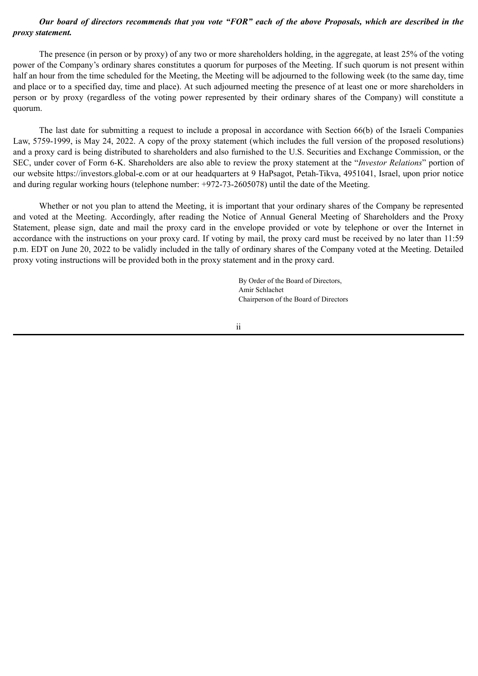# *Our board of directors recommends that you vote "FOR" each of the above Proposals, which are described in the proxy statement.*

The presence (in person or by proxy) of any two or more shareholders holding, in the aggregate, at least 25% of the voting power of the Company's ordinary shares constitutes a quorum for purposes of the Meeting. If such quorum is not present within half an hour from the time scheduled for the Meeting, the Meeting will be adjourned to the following week (to the same day, time and place or to a specified day, time and place). At such adjourned meeting the presence of at least one or more shareholders in person or by proxy (regardless of the voting power represented by their ordinary shares of the Company) will constitute a quorum.

The last date for submitting a request to include a proposal in accordance with Section 66(b) of the Israeli Companies Law, 5759-1999, is May 24, 2022. A copy of the proxy statement (which includes the full version of the proposed resolutions) and a proxy card is being distributed to shareholders and also furnished to the U.S. Securities and Exchange Commission, or the SEC, under cover of Form 6-K. Shareholders are also able to review the proxy statement at the "*Investor Relations*" portion of our website https://investors.global-e.com or at our headquarters at 9 HaPsagot, Petah-Tikva, 4951041, Israel, upon prior notice and during regular working hours (telephone number: +972-73-2605078) until the date of the Meeting.

Whether or not you plan to attend the Meeting, it is important that your ordinary shares of the Company be represented and voted at the Meeting. Accordingly, after reading the Notice of Annual General Meeting of Shareholders and the Proxy Statement, please sign, date and mail the proxy card in the envelope provided or vote by telephone or over the Internet in accordance with the instructions on your proxy card. If voting by mail, the proxy card must be received by no later than 11:59 p.m. EDT on June 20, 2022 to be validly included in the tally of ordinary shares of the Company voted at the Meeting. Detailed proxy voting instructions will be provided both in the proxy statement and in the proxy card.

> By Order of the Board of Directors, Amir Schlachet Chairperson of the Board of Directors

ii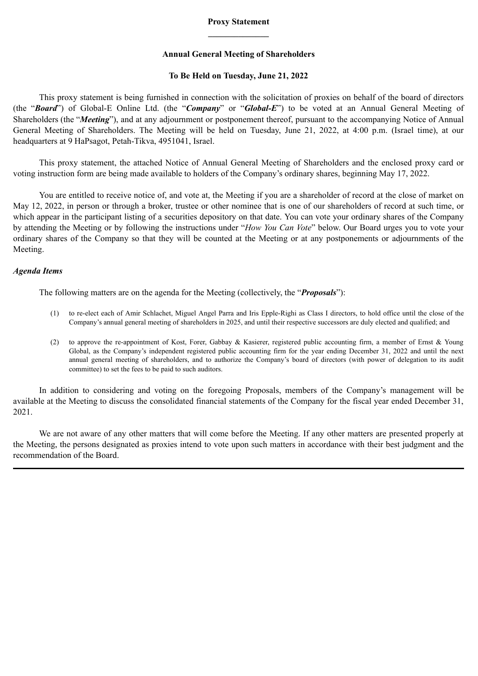# **Proxy Statement \_\_\_\_\_\_\_\_\_\_\_\_\_\_**

### **Annual General Meeting of Shareholders**

### **To Be Held on Tuesday, June 21, 2022**

This proxy statement is being furnished in connection with the solicitation of proxies on behalf of the board of directors (the "*Board*") of Global-E Online Ltd. (the "*Company*" or "*Global-E*") to be voted at an Annual General Meeting of Shareholders (the "*Meeting*"), and at any adjournment or postponement thereof, pursuant to the accompanying Notice of Annual General Meeting of Shareholders. The Meeting will be held on Tuesday, June 21, 2022, at 4:00 p.m. (Israel time), at our headquarters at 9 HaPsagot, Petah-Tikva, 4951041, Israel.

This proxy statement, the attached Notice of Annual General Meeting of Shareholders and the enclosed proxy card or voting instruction form are being made available to holders of the Company's ordinary shares, beginning May 17, 2022.

You are entitled to receive notice of, and vote at, the Meeting if you are a shareholder of record at the close of market on May 12, 2022, in person or through a broker, trustee or other nominee that is one of our shareholders of record at such time, or which appear in the participant listing of a securities depository on that date. You can vote your ordinary shares of the Company by attending the Meeting or by following the instructions under "*How You Can Vote*" below. Our Board urges you to vote your ordinary shares of the Company so that they will be counted at the Meeting or at any postponements or adjournments of the Meeting.

#### *Agenda Items*

The following matters are on the agenda for the Meeting (collectively, the "*Proposals*"):

- (1) to re-elect each of Amir Schlachet, Miguel Angel Parra and Iris Epple-Righi as Class I directors, to hold office until the close of the Company's annual general meeting of shareholders in 2025, and until their respective successors are duly elected and qualified; and
- (2) to approve the re-appointment of Kost, Forer, Gabbay & Kasierer, registered public accounting firm, a member of Ernst & Young Global, as the Company's independent registered public accounting firm for the year ending December 31, 2022 and until the next annual general meeting of shareholders, and to authorize the Company's board of directors (with power of delegation to its audit committee) to set the fees to be paid to such auditors.

In addition to considering and voting on the foregoing Proposals, members of the Company's management will be available at the Meeting to discuss the consolidated financial statements of the Company for the fiscal year ended December 31, 2021.

We are not aware of any other matters that will come before the Meeting. If any other matters are presented properly at the Meeting, the persons designated as proxies intend to vote upon such matters in accordance with their best judgment and the recommendation of the Board.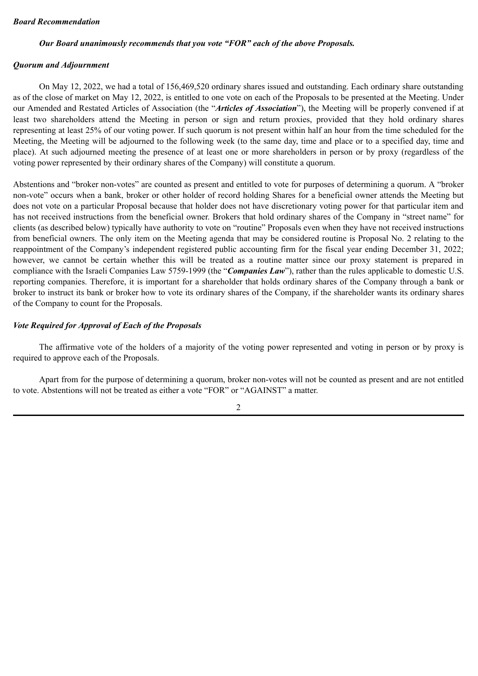### *Board Recommendation*

### *Our Board unanimously recommends that you vote "FOR" each of the above Proposals.*

### *Quorum and Adjournment*

On May 12, 2022, we had a total of 156,469,520 ordinary shares issued and outstanding. Each ordinary share outstanding as of the close of market on May 12, 2022, is entitled to one vote on each of the Proposals to be presented at the Meeting. Under our Amended and Restated Articles of Association (the "*Articles of Association*"), the Meeting will be properly convened if at least two shareholders attend the Meeting in person or sign and return proxies, provided that they hold ordinary shares representing at least 25% of our voting power. If such quorum is not present within half an hour from the time scheduled for the Meeting, the Meeting will be adjourned to the following week (to the same day, time and place or to a specified day, time and place). At such adjourned meeting the presence of at least one or more shareholders in person or by proxy (regardless of the voting power represented by their ordinary shares of the Company) will constitute a quorum.

Abstentions and "broker non-votes" are counted as present and entitled to vote for purposes of determining a quorum. A "broker non-vote" occurs when a bank, broker or other holder of record holding Shares for a beneficial owner attends the Meeting but does not vote on a particular Proposal because that holder does not have discretionary voting power for that particular item and has not received instructions from the beneficial owner. Brokers that hold ordinary shares of the Company in "street name" for clients (as described below) typically have authority to vote on "routine" Proposals even when they have not received instructions from beneficial owners. The only item on the Meeting agenda that may be considered routine is Proposal No. 2 relating to the reappointment of the Company's independent registered public accounting firm for the fiscal year ending December 31, 2022; however, we cannot be certain whether this will be treated as a routine matter since our proxy statement is prepared in compliance with the Israeli Companies Law 5759-1999 (the "*Companies Law*"), rather than the rules applicable to domestic U.S. reporting companies. Therefore, it is important for a shareholder that holds ordinary shares of the Company through a bank or broker to instruct its bank or broker how to vote its ordinary shares of the Company, if the shareholder wants its ordinary shares of the Company to count for the Proposals.

# *Vote Required for Approval of Each of the Proposals*

The affirmative vote of the holders of a majority of the voting power represented and voting in person or by proxy is required to approve each of the Proposals.

Apart from for the purpose of determining a quorum, broker non-votes will not be counted as present and are not entitled to vote. Abstentions will not be treated as either a vote "FOR" or "AGAINST" a matter.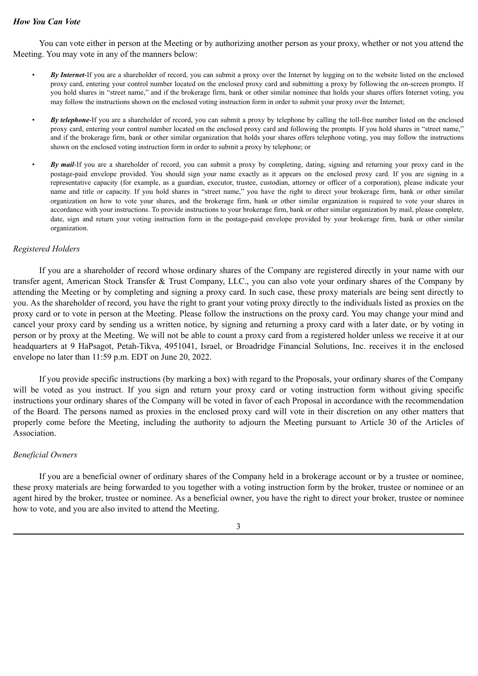### *How You Can Vote*

You can vote either in person at the Meeting or by authorizing another person as your proxy, whether or not you attend the Meeting. You may vote in any of the manners below:

- *By Internet*-If you are a shareholder of record, you can submit a proxy over the Internet by logging on to the website listed on the enclosed proxy card, entering your control number located on the enclosed proxy card and submitting a proxy by following the on-screen prompts. If you hold shares in "street name," and if the brokerage firm, bank or other similar nominee that holds your shares offers Internet voting, you may follow the instructions shown on the enclosed voting instruction form in order to submit your proxy over the Internet;
- *By telephone*-If you are a shareholder of record, you can submit a proxy by telephone by calling the toll-free number listed on the enclosed proxy card, entering your control number located on the enclosed proxy card and following the prompts. If you hold shares in "street name," and if the brokerage firm, bank or other similar organization that holds your shares offers telephone voting, you may follow the instructions shown on the enclosed voting instruction form in order to submit a proxy by telephone; or
- *By mail*-If you are a shareholder of record, you can submit a proxy by completing, dating, signing and returning your proxy card in the postage-paid envelope provided. You should sign your name exactly as it appears on the enclosed proxy card. If you are signing in a representative capacity (for example, as a guardian, executor, trustee, custodian, attorney or officer of a corporation), please indicate your name and title or capacity. If you hold shares in "street name," you have the right to direct your brokerage firm, bank or other similar organization on how to vote your shares, and the brokerage firm, bank or other similar organization is required to vote your shares in accordance with your instructions. To provide instructions to your brokerage firm, bank or other similar organization by mail, please complete, date, sign and return your voting instruction form in the postage-paid envelope provided by your brokerage firm, bank or other similar organization.

### *Registered Holders*

If you are a shareholder of record whose ordinary shares of the Company are registered directly in your name with our transfer agent, American Stock Transfer & Trust Company, LLC., you can also vote your ordinary shares of the Company by attending the Meeting or by completing and signing a proxy card. In such case, these proxy materials are being sent directly to you. As the shareholder of record, you have the right to grant your voting proxy directly to the individuals listed as proxies on the proxy card or to vote in person at the Meeting. Please follow the instructions on the proxy card. You may change your mind and cancel your proxy card by sending us a written notice, by signing and returning a proxy card with a later date, or by voting in person or by proxy at the Meeting. We will not be able to count a proxy card from a registered holder unless we receive it at our headquarters at 9 HaPsagot, Petah-Tikva, 4951041, Israel, or Broadridge Financial Solutions, Inc. receives it in the enclosed envelope no later than 11:59 p.m. EDT on June 20, 2022.

If you provide specific instructions (by marking a box) with regard to the Proposals, your ordinary shares of the Company will be voted as you instruct. If you sign and return your proxy card or voting instruction form without giving specific instructions your ordinary shares of the Company will be voted in favor of each Proposal in accordance with the recommendation of the Board. The persons named as proxies in the enclosed proxy card will vote in their discretion on any other matters that properly come before the Meeting, including the authority to adjourn the Meeting pursuant to Article 30 of the Articles of Association.

#### *Beneficial Owners*

If you are a beneficial owner of ordinary shares of the Company held in a brokerage account or by a trustee or nominee, these proxy materials are being forwarded to you together with a voting instruction form by the broker, trustee or nominee or an agent hired by the broker, trustee or nominee. As a beneficial owner, you have the right to direct your broker, trustee or nominee how to vote, and you are also invited to attend the Meeting.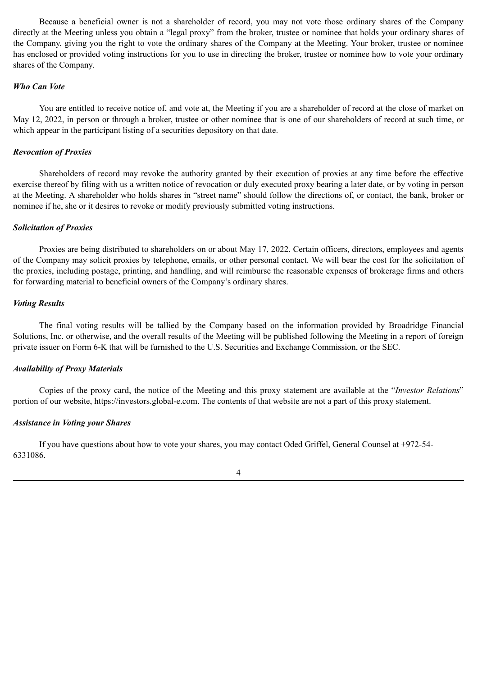Because a beneficial owner is not a shareholder of record, you may not vote those ordinary shares of the Company directly at the Meeting unless you obtain a "legal proxy" from the broker, trustee or nominee that holds your ordinary shares of the Company, giving you the right to vote the ordinary shares of the Company at the Meeting. Your broker, trustee or nominee has enclosed or provided voting instructions for you to use in directing the broker, trustee or nominee how to vote your ordinary shares of the Company.

# *Who Can Vote*

You are entitled to receive notice of, and vote at, the Meeting if you are a shareholder of record at the close of market on May 12, 2022, in person or through a broker, trustee or other nominee that is one of our shareholders of record at such time, or which appear in the participant listing of a securities depository on that date.

# *Revocation of Proxies*

Shareholders of record may revoke the authority granted by their execution of proxies at any time before the effective exercise thereof by filing with us a written notice of revocation or duly executed proxy bearing a later date, or by voting in person at the Meeting. A shareholder who holds shares in "street name" should follow the directions of, or contact, the bank, broker or nominee if he, she or it desires to revoke or modify previously submitted voting instructions.

# *Solicitation of Proxies*

Proxies are being distributed to shareholders on or about May 17, 2022. Certain officers, directors, employees and agents of the Company may solicit proxies by telephone, emails, or other personal contact. We will bear the cost for the solicitation of the proxies, including postage, printing, and handling, and will reimburse the reasonable expenses of brokerage firms and others for forwarding material to beneficial owners of the Company's ordinary shares.

# *Voting Results*

The final voting results will be tallied by the Company based on the information provided by Broadridge Financial Solutions, Inc. or otherwise, and the overall results of the Meeting will be published following the Meeting in a report of foreign private issuer on Form 6-K that will be furnished to the U.S. Securities and Exchange Commission, or the SEC.

# *Availability of Proxy Materials*

Copies of the proxy card, the notice of the Meeting and this proxy statement are available at the "*Investor Relations*" portion of our website, https://investors.global-e.com. The contents of that website are not a part of this proxy statement.

# *Assistance in Voting your Shares*

If you have questions about how to vote your shares, you may contact Oded Griffel, General Counsel at +972-54- 6331086.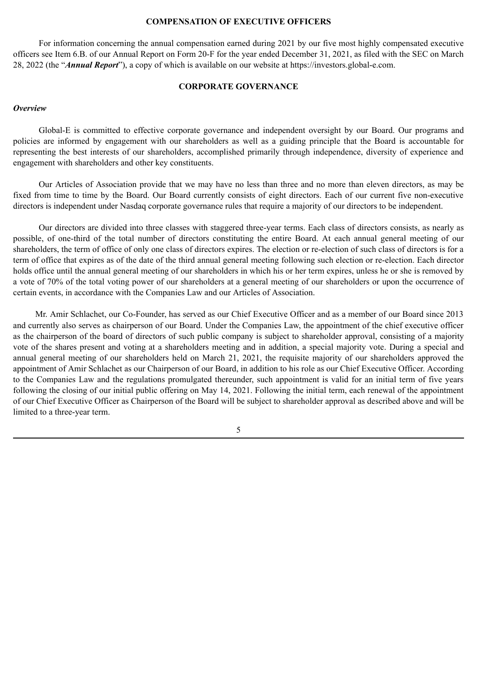#### **COMPENSATION OF EXECUTIVE OFFICERS**

For information concerning the annual compensation earned during 2021 by our five most highly compensated executive officers see Item 6.B. of our Annual Report on Form 20-F for the year ended December 31, 2021, as filed with the SEC on March 28, 2022 (the "*Annual Report*"), a copy of which is available on our website at https://investors.global-e.com.

### **CORPORATE GOVERNANCE**

#### *Overview*

Global-E is committed to effective corporate governance and independent oversight by our Board. Our programs and policies are informed by engagement with our shareholders as well as a guiding principle that the Board is accountable for representing the best interests of our shareholders, accomplished primarily through independence, diversity of experience and engagement with shareholders and other key constituents.

Our Articles of Association provide that we may have no less than three and no more than eleven directors, as may be fixed from time to time by the Board. Our Board currently consists of eight directors. Each of our current five non-executive directors is independent under Nasdaq corporate governance rules that require a majority of our directors to be independent.

Our directors are divided into three classes with staggered three-year terms. Each class of directors consists, as nearly as possible, of one-third of the total number of directors constituting the entire Board. At each annual general meeting of our shareholders, the term of office of only one class of directors expires. The election or re-election of such class of directors is for a term of office that expires as of the date of the third annual general meeting following such election or re-election. Each director holds office until the annual general meeting of our shareholders in which his or her term expires, unless he or she is removed by a vote of 70% of the total voting power of our shareholders at a general meeting of our shareholders or upon the occurrence of certain events, in accordance with the Companies Law and our Articles of Association.

Mr. Amir Schlachet, our Co-Founder, has served as our Chief Executive Officer and as a member of our Board since 2013 and currently also serves as chairperson of our Board. Under the Companies Law, the appointment of the chief executive officer as the chairperson of the board of directors of such public company is subject to shareholder approval, consisting of a majority vote of the shares present and voting at a shareholders meeting and in addition, a special majority vote. During a special and annual general meeting of our shareholders held on March 21, 2021, the requisite majority of our shareholders approved the appointment of Amir Schlachet as our Chairperson of our Board, in addition to his role as our Chief Executive Officer. According to the Companies Law and the regulations promulgated thereunder, such appointment is valid for an initial term of five years following the closing of our initial public offering on May 14, 2021. Following the initial term, each renewal of the appointment of our Chief Executive Officer as Chairperson of the Board will be subject to shareholder approval as described above and will be limited to a three-year term.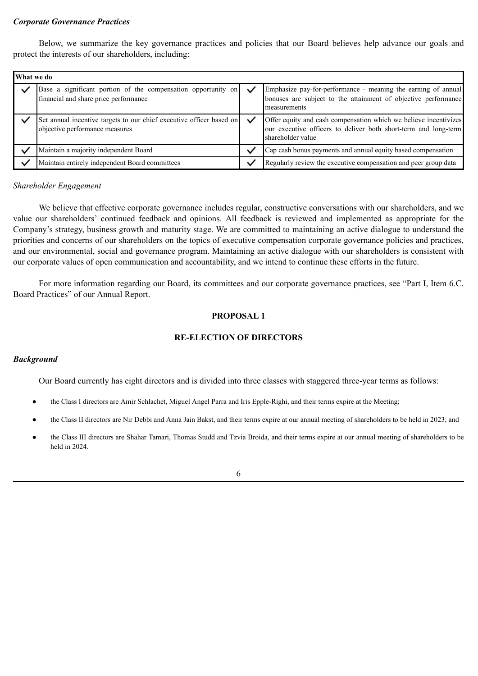### *Corporate Governance Practices*

Below, we summarize the key governance practices and policies that our Board believes help advance our goals and protect the interests of our shareholders, including:

| What we do |                                                                                                        |                                                                                                                                                          |
|------------|--------------------------------------------------------------------------------------------------------|----------------------------------------------------------------------------------------------------------------------------------------------------------|
|            | Base a significant portion of the compensation opportunity on<br>financial and share price performance | Emphasize pay-for-performance - meaning the earning of annual<br>bonuses are subject to the attainment of objective performance<br>measurements          |
|            | Set annual incentive targets to our chief executive officer based on<br>objective performance measures | Offer equity and cash compensation which we believe incentivizes<br>our executive officers to deliver both short-term and long-term<br>shareholder value |
|            | Maintain a majority independent Board                                                                  | Cap cash bonus payments and annual equity based compensation                                                                                             |
|            | Maintain entirely independent Board committees                                                         | Regularly review the executive compensation and peer group data                                                                                          |

#### *Shareholder Engagement*

We believe that effective corporate governance includes regular, constructive conversations with our shareholders, and we value our shareholders' continued feedback and opinions. All feedback is reviewed and implemented as appropriate for the Company's strategy, business growth and maturity stage. We are committed to maintaining an active dialogue to understand the priorities and concerns of our shareholders on the topics of executive compensation corporate governance policies and practices, and our environmental, social and governance program. Maintaining an active dialogue with our shareholders is consistent with our corporate values of open communication and accountability, and we intend to continue these efforts in the future.

For more information regarding our Board, its committees and our corporate governance practices, see "Part I, Item 6.C. Board Practices" of our Annual Report.

# **PROPOSAL 1**

# **RE-ELECTION OF DIRECTORS**

# *Background*

Our Board currently has eight directors and is divided into three classes with staggered three-year terms as follows:

- the Class I directors are Amir Schlachet, Miguel Angel Parra and Iris Epple-Righi, and their terms expire at the Meeting;
- the Class II directors are Nir Debbi and Anna Jain Bakst, and their terms expire at our annual meeting of shareholders to be held in 2023; and
- the Class III directors are Shahar Tamari, Thomas Studd and Tzvia Broida, and their terms expire at our annual meeting of shareholders to be held in 2024.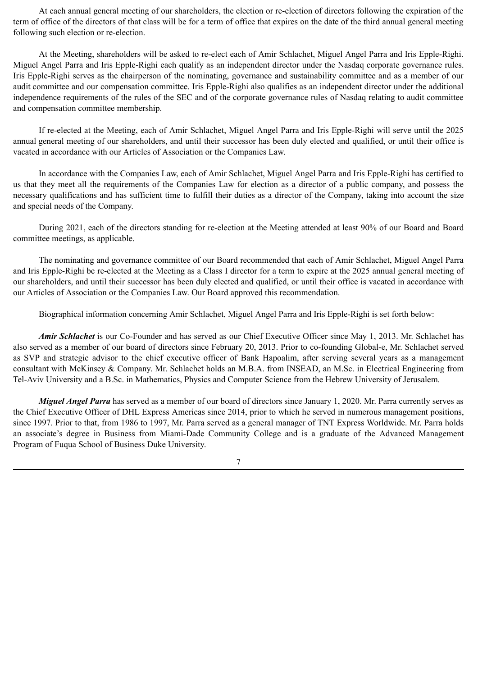At each annual general meeting of our shareholders, the election or re-election of directors following the expiration of the term of office of the directors of that class will be for a term of office that expires on the date of the third annual general meeting following such election or re-election.

At the Meeting, shareholders will be asked to re-elect each of Amir Schlachet, Miguel Angel Parra and Iris Epple-Righi. Miguel Angel Parra and Iris Epple-Righi each qualify as an independent director under the Nasdaq corporate governance rules. Iris Epple-Righi serves as the chairperson of the nominating, governance and sustainability committee and as a member of our audit committee and our compensation committee. Iris Epple-Righi also qualifies as an independent director under the additional independence requirements of the rules of the SEC and of the corporate governance rules of Nasdaq relating to audit committee and compensation committee membership.

If re-elected at the Meeting, each of Amir Schlachet, Miguel Angel Parra and Iris Epple-Righi will serve until the 2025 annual general meeting of our shareholders, and until their successor has been duly elected and qualified, or until their office is vacated in accordance with our Articles of Association or the Companies Law.

In accordance with the Companies Law, each of Amir Schlachet, Miguel Angel Parra and Iris Epple-Righi has certified to us that they meet all the requirements of the Companies Law for election as a director of a public company, and possess the necessary qualifications and has sufficient time to fulfill their duties as a director of the Company, taking into account the size and special needs of the Company.

During 2021, each of the directors standing for re-election at the Meeting attended at least 90% of our Board and Board committee meetings, as applicable.

The nominating and governance committee of our Board recommended that each of Amir Schlachet, Miguel Angel Parra and Iris Epple-Righi be re-elected at the Meeting as a Class I director for a term to expire at the 2025 annual general meeting of our shareholders, and until their successor has been duly elected and qualified, or until their office is vacated in accordance with our Articles of Association or the Companies Law. Our Board approved this recommendation.

Biographical information concerning Amir Schlachet, Miguel Angel Parra and Iris Epple-Righi is set forth below:

*Amir Schlachet* is our Co-Founder and has served as our Chief Executive Officer since May 1, 2013. Mr. Schlachet has also served as a member of our board of directors since February 20, 2013. Prior to co-founding Global-e, Mr. Schlachet served as SVP and strategic advisor to the chief executive officer of Bank Hapoalim, after serving several years as a management consultant with McKinsey & Company. Mr. Schlachet holds an M.B.A. from INSEAD, an M.Sc. in Electrical Engineering from Tel-Aviv University and a B.Sc. in Mathematics, Physics and Computer Science from the Hebrew University of Jerusalem.

*Miguel Angel Parra* has served as a member of our board of directors since January 1, 2020. Mr. Parra currently serves as the Chief Executive Officer of DHL Express Americas since 2014, prior to which he served in numerous management positions, since 1997. Prior to that, from 1986 to 1997, Mr. Parra served as a general manager of TNT Express Worldwide. Mr. Parra holds an associate's degree in Business from Miami-Dade Community College and is a graduate of the Advanced Management Program of Fuqua School of Business Duke University.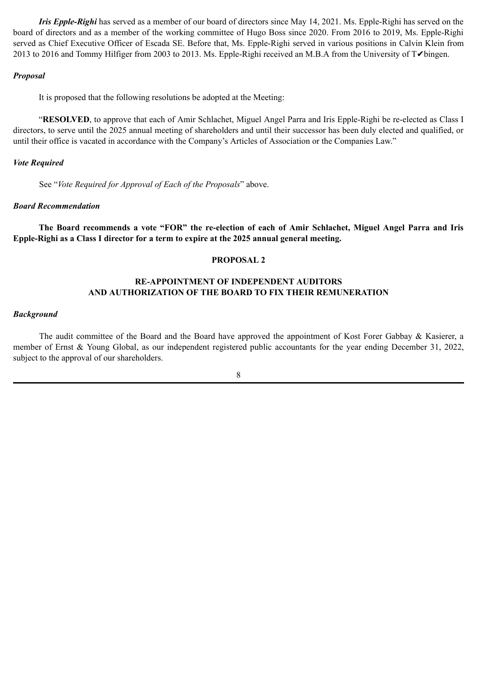*Iris Epple-Righi* has served as a member of our board of directors since May 14, 2021. Ms. Epple-Righi has served on the board of directors and as a member of the working committee of Hugo Boss since 2020. From 2016 to 2019, Ms. Epple-Righi served as Chief Executive Officer of Escada SE. Before that, Ms. Epple-Righi served in various positions in Calvin Klein from 2013 to 2016 and Tommy Hilfiger from 2003 to 2013. Ms. Epple-Righi received an M.B.A from the University of T✔bingen.

### *Proposal*

It is proposed that the following resolutions be adopted at the Meeting:

"**RESOLVED**, to approve that each of Amir Schlachet, Miguel Angel Parra and Iris Epple-Righi be re-elected as Class I directors, to serve until the 2025 annual meeting of shareholders and until their successor has been duly elected and qualified, or until their office is vacated in accordance with the Company's Articles of Association or the Companies Law."

# *Vote Required*

See "*Vote Required for Approval of Each of the Proposals*" above.

# *Board Recommendation*

**The Board recommends a vote "FOR" the re-election of each of Amir Schlachet, Miguel Angel Parra and Iris Epple-Righi as a Class I director for a term to expire at the 2025 annual general meeting.**

# **PROPOSAL 2**

# **RE-APPOINTMENT OF INDEPENDENT AUDITORS AND AUTHORIZATION OF THE BOARD TO FIX THEIR REMUNERATION**

### *Background*

The audit committee of the Board and the Board have approved the appointment of Kost Forer Gabbay & Kasierer, a member of Ernst & Young Global, as our independent registered public accountants for the year ending December 31, 2022, subject to the approval of our shareholders.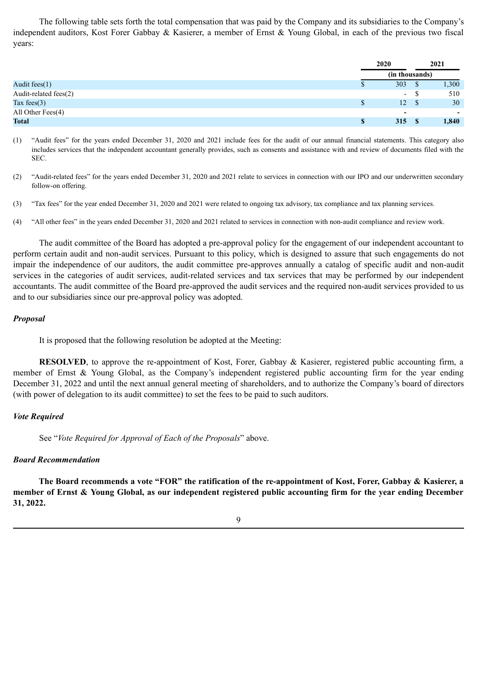The following table sets forth the total compensation that was paid by the Company and its subsidiaries to the Company's independent auditors, Kost Forer Gabbay & Kasierer, a member of Ernst & Young Global, in each of the previous two fiscal years:

|                       |    | 2020                     |               | 2021  |  |
|-----------------------|----|--------------------------|---------------|-------|--|
|                       |    | (in thousands)           |               |       |  |
| Audit fees $(1)$      | Φ  | 303                      | \$            | 1,300 |  |
| Audit-related fees(2) |    | $\overline{\phantom{a}}$ | -S            | 510   |  |
| Tax fees $(3)$        | \$ | 12 <sup>1</sup>          | <sup>\$</sup> | 30    |  |
| All Other Fees $(4)$  |    | $\overline{\phantom{a}}$ |               | ۰.    |  |
| <b>Total</b>          | \$ | 315                      |               | 1,840 |  |

- (1) "Audit fees" for the years ended December 31, 2020 and 2021 include fees for the audit of our annual financial statements. This category also includes services that the independent accountant generally provides, such as consents and assistance with and review of documents filed with the SEC.
- (2) "Audit-related fees" for the years ended December 31, 2020 and 2021 relate to services in connection with our IPO and our underwritten secondary follow-on offering.
- (3) "Tax fees" for the year ended December 31, 2020 and 2021 were related to ongoing tax advisory, tax compliance and tax planning services.
- (4) "All other fees" in the years ended December 31, 2020 and 2021 related to services in connection with non-audit compliance and review work.

The audit committee of the Board has adopted a pre-approval policy for the engagement of our independent accountant to perform certain audit and non-audit services. Pursuant to this policy, which is designed to assure that such engagements do not impair the independence of our auditors, the audit committee pre-approves annually a catalog of specific audit and non-audit services in the categories of audit services, audit-related services and tax services that may be performed by our independent accountants. The audit committee of the Board pre-approved the audit services and the required non-audit services provided to us and to our subsidiaries since our pre-approval policy was adopted.

#### *Proposal*

It is proposed that the following resolution be adopted at the Meeting:

**RESOLVED**, to approve the re-appointment of Kost, Forer, Gabbay & Kasierer, registered public accounting firm, a member of Ernst & Young Global, as the Company's independent registered public accounting firm for the year ending December 31, 2022 and until the next annual general meeting of shareholders, and to authorize the Company's board of directors (with power of delegation to its audit committee) to set the fees to be paid to such auditors.

# *Vote Required*

See "*Vote Required for Approval of Each of the Proposals*" above.

#### *Board Recommendation*

**The Board recommends a vote "FOR" the ratification of the re-appointment of Kost, Forer, Gabbay & Kasierer, a member of Ernst & Young Global, as our independent registered public accounting firm for the year ending December 31, 2022.**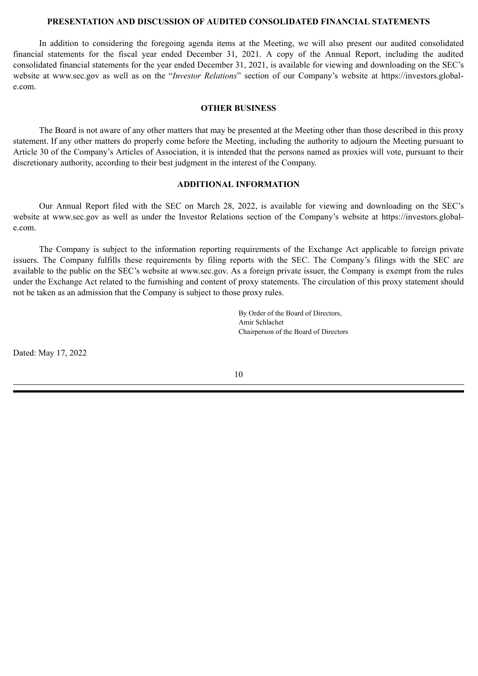### **PRESENTATION AND DISCUSSION OF AUDITED CONSOLIDATED FINANCIAL STATEMENTS**

In addition to considering the foregoing agenda items at the Meeting, we will also present our audited consolidated financial statements for the fiscal year ended December 31, 2021. A copy of the Annual Report, including the audited consolidated financial statements for the year ended December 31, 2021, is available for viewing and downloading on the SEC's website at www.sec.gov as well as on the "*Investor Relations*" section of our Company's website at https://investors.globale.com.

#### **OTHER BUSINESS**

The Board is not aware of any other matters that may be presented at the Meeting other than those described in this proxy statement. If any other matters do properly come before the Meeting, including the authority to adjourn the Meeting pursuant to Article 30 of the Company's Articles of Association, it is intended that the persons named as proxies will vote, pursuant to their discretionary authority, according to their best judgment in the interest of the Company.

#### **ADDITIONAL INFORMATION**

Our Annual Report filed with the SEC on March 28, 2022, is available for viewing and downloading on the SEC's website at www.sec.gov as well as under the Investor Relations section of the Company's website at https://investors.globale.com.

The Company is subject to the information reporting requirements of the Exchange Act applicable to foreign private issuers. The Company fulfills these requirements by filing reports with the SEC. The Company's filings with the SEC are available to the public on the SEC's website at www.sec.gov. As a foreign private issuer, the Company is exempt from the rules under the Exchange Act related to the furnishing and content of proxy statements. The circulation of this proxy statement should not be taken as an admission that the Company is subject to those proxy rules.

> By Order of the Board of Directors, Amir Schlachet Chairperson of the Board of Directors

Dated: May 17, 2022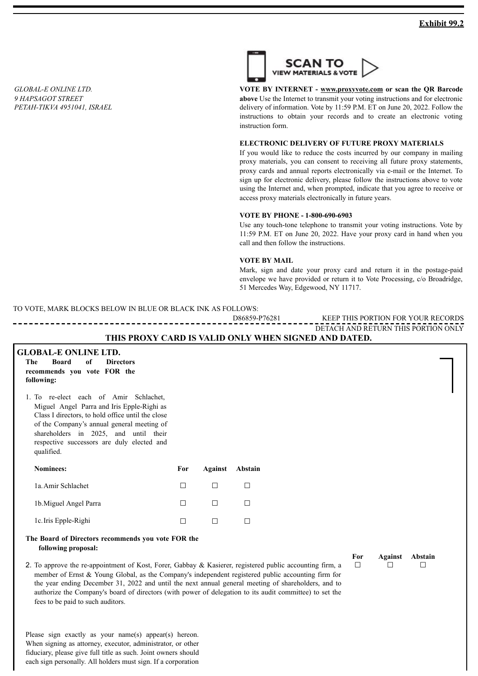<span id="page-16-0"></span>*GLOBAL-E ONLINE LTD. 9 HAPSAGOT STREET PETAH-TIKVA 4951041, ISRAEL*



**VOTE BY INTERNET - www.proxyvote.com or scan the QR Barcode above** Use the Internet to transmit your voting instructions and for electronic delivery of information. Vote by 11:59 P.M. ET on June 20, 2022. Follow the instructions to obtain your records and to create an electronic voting instruction form.

#### **ELECTRONIC DELIVERY OF FUTURE PROXY MATERIALS**

If you would like to reduce the costs incurred by our company in mailing proxy materials, you can consent to receiving all future proxy statements, proxy cards and annual reports electronically via e-mail or the Internet. To sign up for electronic delivery, please follow the instructions above to vote using the Internet and, when prompted, indicate that you agree to receive or access proxy materials electronically in future years.

#### **VOTE BY PHONE - 1-800-690-6903**

Use any touch-tone telephone to transmit your voting instructions. Vote by 11:59 P.M. ET on June 20, 2022. Have your proxy card in hand when you call and then follow the instructions.

### **VOTE BY MAIL**

Mark, sign and date your proxy card and return it in the postage-paid envelope we have provided or return it to Vote Processing, c/o Broadridge, 51 Mercedes Way, Edgewood, NY 11717.

TO VOTE, MARK BLOCKS BELOW IN BLUE OR BLACK INK AS FOLLOWS:

| D86859-1                                             | .)RDS<br>FOR<br>RE)<br>НĽ<br>D<br>TON<br>YOUR<br>`}R⊺    |
|------------------------------------------------------|----------------------------------------------------------|
|                                                      | <b>THIS</b><br>5 PORTION ONLY<br>) RETURN<br>7F.<br>`ANL |
| THE BROWLO ARE TO VILLED ONLY WHEN CLONED AND BATED. |                                                          |

#### **THIS PROXY CARD IS VALID ONLY WHEN SIGNED AND DATED.**

**The Board of Directors recommends you vote FOR the following:**

1. To re-elect each of Amir Schlachet, Miguel Angel Parra and Iris Epple-Righi as Class I directors, to hold office until the close of the Company's annual general meeting of shareholders in 2025, and until their respective successors are duly elected and qualified.

| Nominees:              | For | Against | Abstain |
|------------------------|-----|---------|---------|
| 1a. Amir Schlachet     |     |         |         |
| 1b. Miguel Angel Parra |     |         |         |
| 1c. Iris Epple-Righi   |     |         |         |

#### **The Board of Directors recommends you vote FOR the following proposal:**

2. To approve the re-appointment of Kost, Forer, Gabbay & Kasierer, registered public accounting firm, a member of Ernst & Young Global, as the Company's independent registered public accounting firm for the year ending December 31, 2022 and until the next annual general meeting of shareholders, and to authorize the Company's board of directors (with power of delegation to its audit committee) to set the fees to be paid to such auditors.

**For Against Abstain** ☐ ☐ ☐

Please sign exactly as your name(s) appear(s) hereon. When signing as attorney, executor, administrator, or other fiduciary, please give full title as such. Joint owners should each sign personally. All holders must sign. If a corporation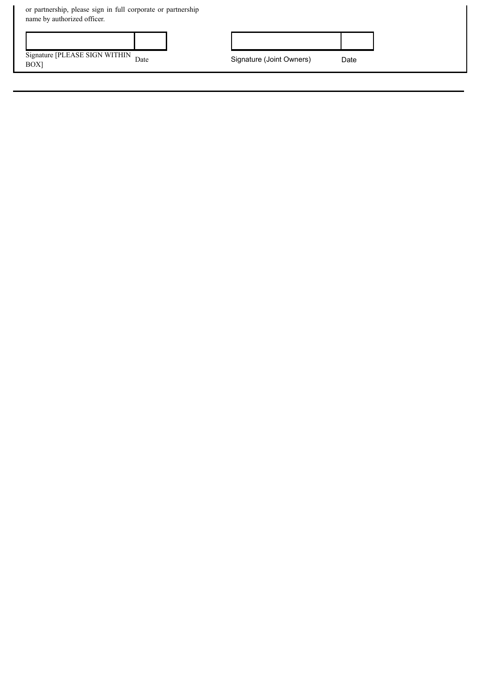| or partnership, please sign in full corporate or partnership<br>name by authorized officer. |  |  |                          |      |
|---------------------------------------------------------------------------------------------|--|--|--------------------------|------|
|                                                                                             |  |  |                          |      |
| Signature [PLEASE SIGN WITHIN Date<br>BOX]                                                  |  |  | Signature (Joint Owners) | Date |